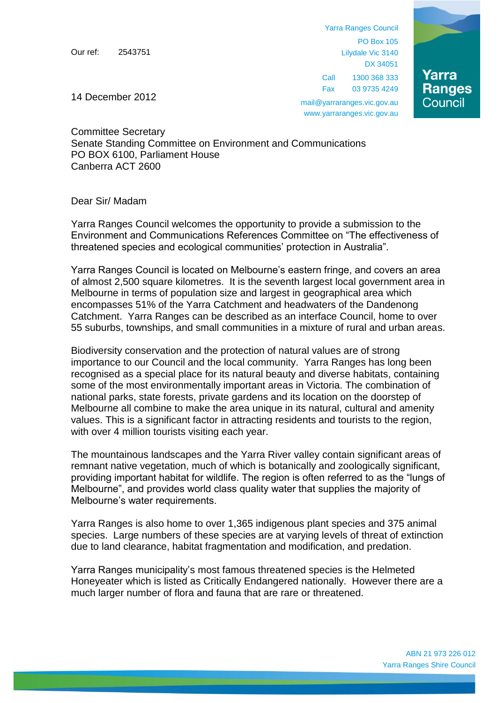Our ref: 2543751

Yarra Ranges Council PO Box 105 Lilydale Vic 3140 DX 34051 Call 1300 368 333 Fax 03 9735 4249



mail@yarraranges.vic.gov.au www.yarraranges.vic.gov.au

14 December 2012

Committee Secretary Senate Standing Committee on Environment and Communications PO BOX 6100, Parliament House Canberra ACT 2600

## Dear Sir/ Madam

Yarra Ranges Council welcomes the opportunity to provide a submission to the Environment and Communications References Committee on "The effectiveness of threatened species and ecological communities' protection in Australia".

Yarra Ranges Council is located on Melbourne's eastern fringe, and covers an area of almost 2,500 square kilometres. It is the seventh largest local government area in Melbourne in terms of population size and largest in geographical area which encompasses 51% of the Yarra Catchment and headwaters of the Dandenong Catchment. Yarra Ranges can be described as an interface Council, home to over 55 suburbs, townships, and small communities in a mixture of rural and urban areas.

Biodiversity conservation and the protection of natural values are of strong importance to our Council and the local community. Yarra Ranges has long been recognised as a special place for its natural beauty and diverse habitats, containing some of the most environmentally important areas in Victoria. The combination of national parks, state forests, private gardens and its location on the doorstep of Melbourne all combine to make the area unique in its natural, cultural and amenity values. This is a significant factor in attracting residents and tourists to the region, with over 4 million tourists visiting each year.

The mountainous landscapes and the Yarra River valley contain significant areas of remnant native vegetation, much of which is botanically and zoologically significant, providing important habitat for wildlife. The region is often referred to as the "lungs of Melbourne", and provides world class quality water that supplies the majority of Melbourne's water requirements.

Yarra Ranges is also home to over 1,365 indigenous plant species and 375 animal species. Large numbers of these species are at varying levels of threat of extinction due to land clearance, habitat fragmentation and modification, and predation.

Yarra Ranges municipality's most famous threatened species is the Helmeted Honeyeater which is listed as Critically Endangered nationally. However there are a much larger number of flora and fauna that are rare or threatened.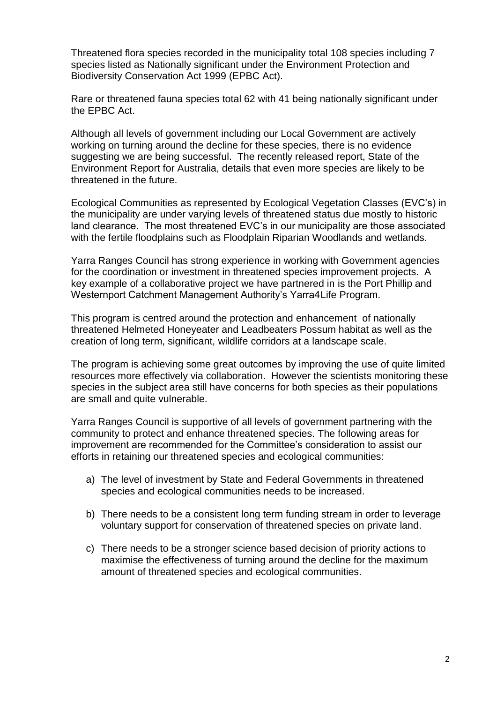Threatened flora species recorded in the municipality total 108 species including 7 species listed as Nationally significant under the Environment Protection and Biodiversity Conservation Act 1999 (EPBC Act).

Rare or threatened fauna species total 62 with 41 being nationally significant under the EPBC Act.

Although all levels of government including our Local Government are actively working on turning around the decline for these species, there is no evidence suggesting we are being successful. The recently released report, State of the Environment Report for Australia, details that even more species are likely to be threatened in the future.

Ecological Communities as represented by Ecological Vegetation Classes (EVC's) in the municipality are under varying levels of threatened status due mostly to historic land clearance. The most threatened EVC's in our municipality are those associated with the fertile floodplains such as Floodplain Riparian Woodlands and wetlands.

Yarra Ranges Council has strong experience in working with Government agencies for the coordination or investment in threatened species improvement projects. A key example of a collaborative project we have partnered in is the Port Phillip and Westernport Catchment Management Authority's Yarra4Life Program.

This program is centred around the protection and enhancement of nationally threatened Helmeted Honeyeater and Leadbeaters Possum habitat as well as the creation of long term, significant, wildlife corridors at a landscape scale.

The program is achieving some great outcomes by improving the use of quite limited resources more effectively via collaboration. However the scientists monitoring these species in the subject area still have concerns for both species as their populations are small and quite vulnerable.

Yarra Ranges Council is supportive of all levels of government partnering with the community to protect and enhance threatened species. The following areas for improvement are recommended for the Committee's consideration to assist our efforts in retaining our threatened species and ecological communities:

- a) The level of investment by State and Federal Governments in threatened species and ecological communities needs to be increased.
- b) There needs to be a consistent long term funding stream in order to leverage voluntary support for conservation of threatened species on private land.
- c) There needs to be a stronger science based decision of priority actions to maximise the effectiveness of turning around the decline for the maximum amount of threatened species and ecological communities.